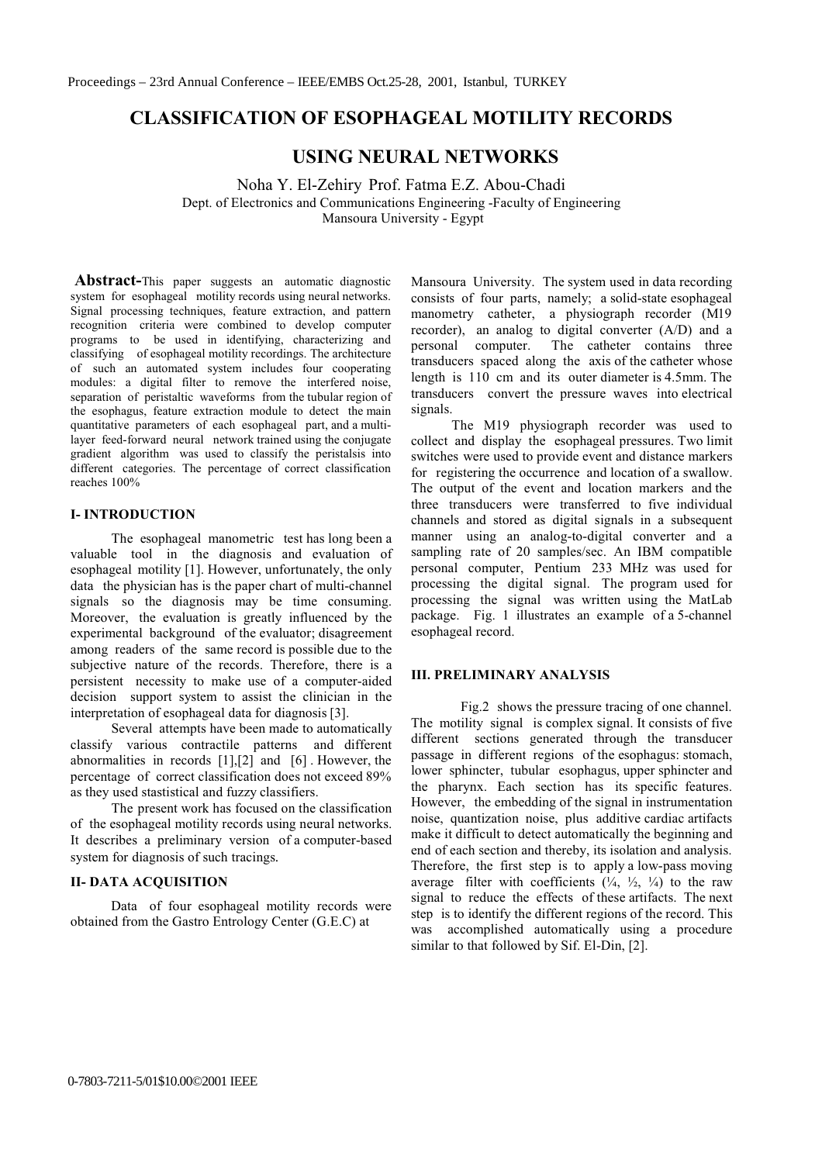# **CLASSIFICATION OF ESOPHAGEAL MOTILITY RECORDS**

# **USING NEURAL NETWORKS**

Noha Y. El-Zehiry Prof. Fatma E.Z. Abou-Chadi Dept. of Electronics and Communications Engineering -Faculty of Engineering Mansoura University - Egypt

**Abstract-**This paper suggests an automatic diagnostic system for esophageal motility records using neural networks. Signal processing techniques, feature extraction, and pattern recognition criteria were combined to develop computer programs to be used in identifying, characterizing and classifying of esophageal motility recordings. The architecture of such an automated system includes four cooperating modules: a digital filter to remove the interfered noise, separation of peristaltic waveforms from the tubular region of the esophagus, feature extraction module to detect the main quantitative parameters of each esophageal part, and a multilayer feed-forward neural network trained using the conjugate gradient algorithm was used to classify the peristalsis into different categories. The percentage of correct classification reaches 100%

### **I-INTRODUCTION**

The esophageal manometric test has long been a valuable tool in the diagnosis and evaluation of esophageal motility [1]. However, unfortunately, the only data the physician has is the paper chart of multi-channel signals so the diagnosis may be time consuming. Moreover, the evaluation is greatly influenced by the experimental background of the evaluator; disagreement among readers of the same record is possible due to the subjective nature of the records. Therefore, there is a persistent necessity to make use of a computer-aided decision support system to assist the clinician in the interpretation of esophageal data for diagnosis [3].

Several attempts have been made to automatically classify various contractile patterns and different abnormalities in records  $[1],[2]$  and  $[6]$ . However, the percentage of correct classification does not exceed 89% as they used stastistical and fuzzy classifiers.

The present work has focused on the classification of the esophageal motility records using neural networks. It describes a preliminary version of a computer-based system for diagnosis of such tracings.

## **II- DATA ACQUISITION**

Data of four esophageal motility records were obtained from the Gastro Entrology Center (G.E.C) at

Mansoura University. The system used in data recording consists of four parts, namely; a solid-state esophageal manometry catheter, a physiograph recorder (M19) recorder), an analog to digital converter (A/D) and a personal computer. The catheter contains three transducers spaced along the axis of the catheter whose length is 110 cm and its outer diameter is 4.5mm. The transducers convert the pressure waves into electrical signals.

The M19 physiograph recorder was used to collect and display the esophageal pressures. Two limit switches were used to provide event and distance markers for registering the occurrence and location of a swallow. The output of the event and location markers and the three transducers were transferred to five individual channels and stored as digital signals in a subsequent manner using an analog-to-digital converter and a sampling rate of 20 samples/sec. An IBM compatible personal computer, Pentium 233 MHz was used for processing the digital signal. The program used for processing the signal was written using the MatLab package. Fig. 1 illustrates an example of a 5-channel esophageal record.

#### **III. PRELIMINARY ANALYSIS**

Fig.2 shows the pressure tracing of one channel. The motility signal is complex signal. It consists of five different sections generated through the transducer passage in different regions of the esophagus: stomach, lower sphincter, tubular esophagus, upper sphincter and the pharynx. Each section has its specific features. However, the embedding of the signal in instrumentation noise, quantization noise, plus additive cardiac artifacts make it difficult to detect automatically the beginning and end of each section and thereby, its isolation and analysis. Therefore, the first step is to apply a low-pass moving average filter with coefficients  $(\frac{1}{4}, \frac{1}{2}, \frac{1}{4})$  to the raw signal to reduce the effects of these artifacts. The next step is to identify the different regions of the record. This was accomplished automatically using a procedure similar to that followed by Sif. El-Din, [2].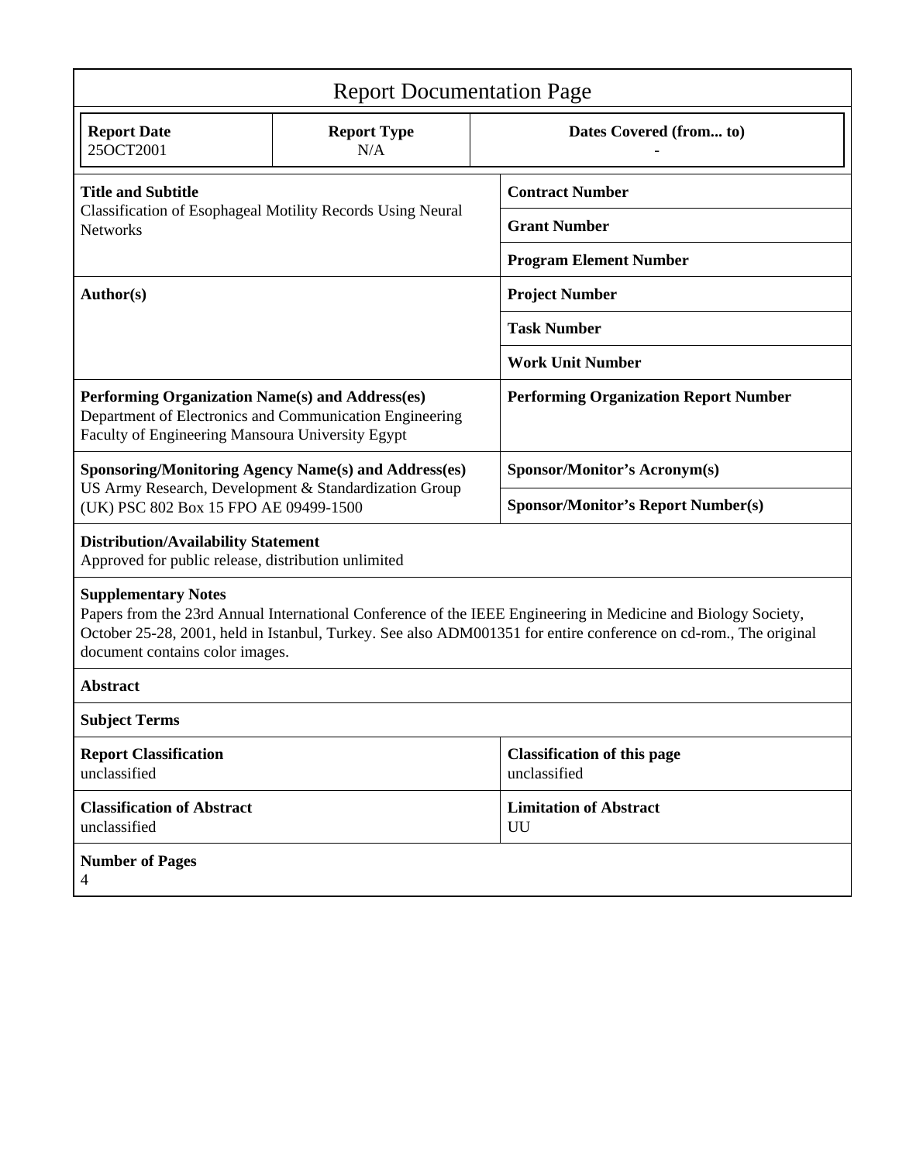| <b>Report Documentation Page</b>                                                                                                                                                                                                                                                                   |                           |                                                    |
|----------------------------------------------------------------------------------------------------------------------------------------------------------------------------------------------------------------------------------------------------------------------------------------------------|---------------------------|----------------------------------------------------|
| <b>Report Date</b><br>25OCT2001                                                                                                                                                                                                                                                                    | <b>Report Type</b><br>N/A | Dates Covered (from to)                            |
| <b>Title and Subtitle</b><br>Classification of Esophageal Motility Records Using Neural<br><b>Networks</b>                                                                                                                                                                                         |                           | <b>Contract Number</b>                             |
|                                                                                                                                                                                                                                                                                                    |                           | <b>Grant Number</b>                                |
|                                                                                                                                                                                                                                                                                                    |                           | <b>Program Element Number</b>                      |
| Author(s)                                                                                                                                                                                                                                                                                          |                           | <b>Project Number</b>                              |
|                                                                                                                                                                                                                                                                                                    |                           | <b>Task Number</b>                                 |
|                                                                                                                                                                                                                                                                                                    |                           | <b>Work Unit Number</b>                            |
| Performing Organization Name(s) and Address(es)<br>Department of Electronics and Communication Engineering<br>Faculty of Engineering Mansoura University Egypt                                                                                                                                     |                           | <b>Performing Organization Report Number</b>       |
| <b>Sponsoring/Monitoring Agency Name(s) and Address(es)</b><br>US Army Research, Development & Standardization Group<br>(UK) PSC 802 Box 15 FPO AE 09499-1500                                                                                                                                      |                           | Sponsor/Monitor's Acronym(s)                       |
|                                                                                                                                                                                                                                                                                                    |                           | <b>Sponsor/Monitor's Report Number(s)</b>          |
| <b>Distribution/Availability Statement</b><br>Approved for public release, distribution unlimited                                                                                                                                                                                                  |                           |                                                    |
| <b>Supplementary Notes</b><br>Papers from the 23rd Annual International Conference of the IEEE Engineering in Medicine and Biology Society,<br>October 25-28, 2001, held in Istanbul, Turkey. See also ADM001351 for entire conference on cd-rom., The original<br>document contains color images. |                           |                                                    |
| <b>Abstract</b>                                                                                                                                                                                                                                                                                    |                           |                                                    |
| <b>Subject Terms</b>                                                                                                                                                                                                                                                                               |                           |                                                    |
| <b>Report Classification</b><br>unclassified                                                                                                                                                                                                                                                       |                           | <b>Classification of this page</b><br>unclassified |
| <b>Classification of Abstract</b><br>unclassified                                                                                                                                                                                                                                                  |                           | <b>Limitation of Abstract</b><br>UU                |
| <b>Number of Pages</b><br>4                                                                                                                                                                                                                                                                        |                           |                                                    |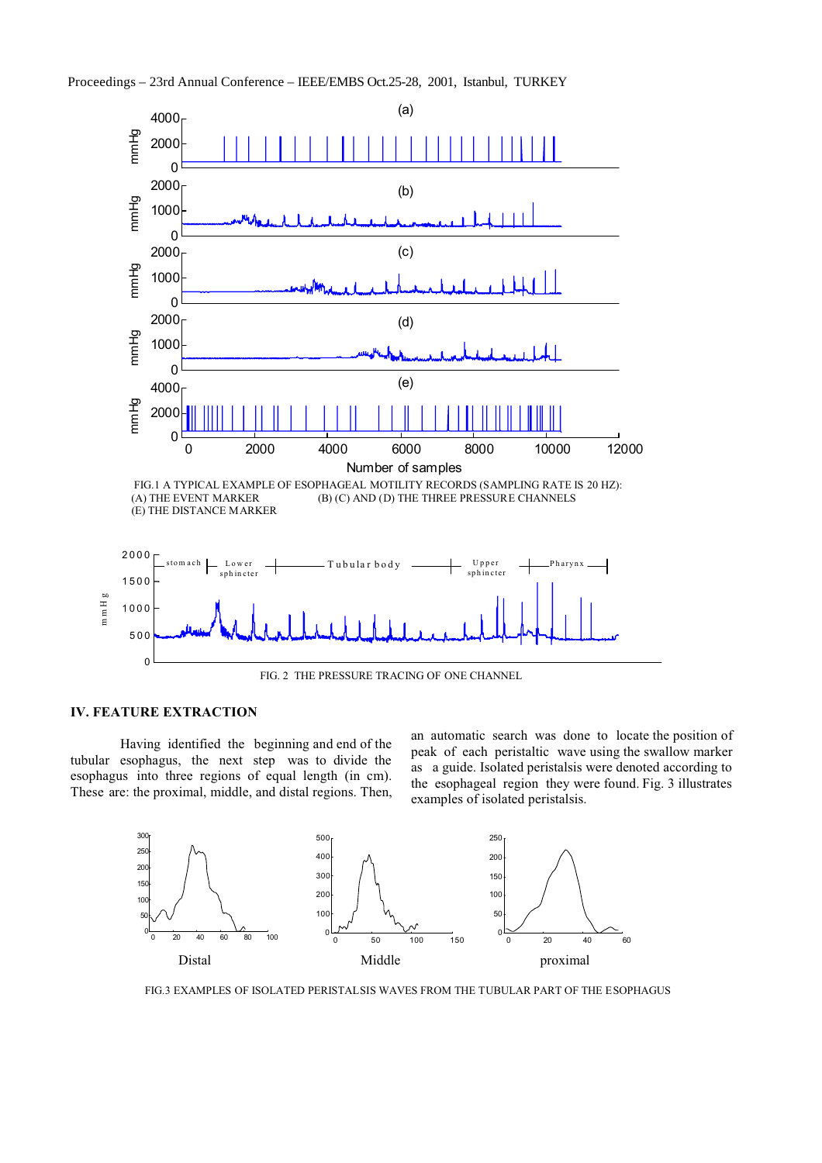



FIG. 2 THE PRESSURE TRACING OF ONE CHANNEL

#### **IV. FEATURE EXTRACTION**

Having identified the beginning and end of the tubular esophagus, the next step was to divide the esophagus into three regions of equal length (in cm). These are: the proximal, middle, and distal regions. Then, an automatic search was done to locate the position of peak of each peristaltic wave using the swallow marker as a guide. Isolated peristalsis were denoted according to the esophageal region they were found. Fig. 3 illustrates examples of isolated peristalsis.



FIG.3 EXAMPLES OF ISOLATED PERISTAL SIS WAVES FROM THE TUBULAR PART OF THE ESOPHAGUS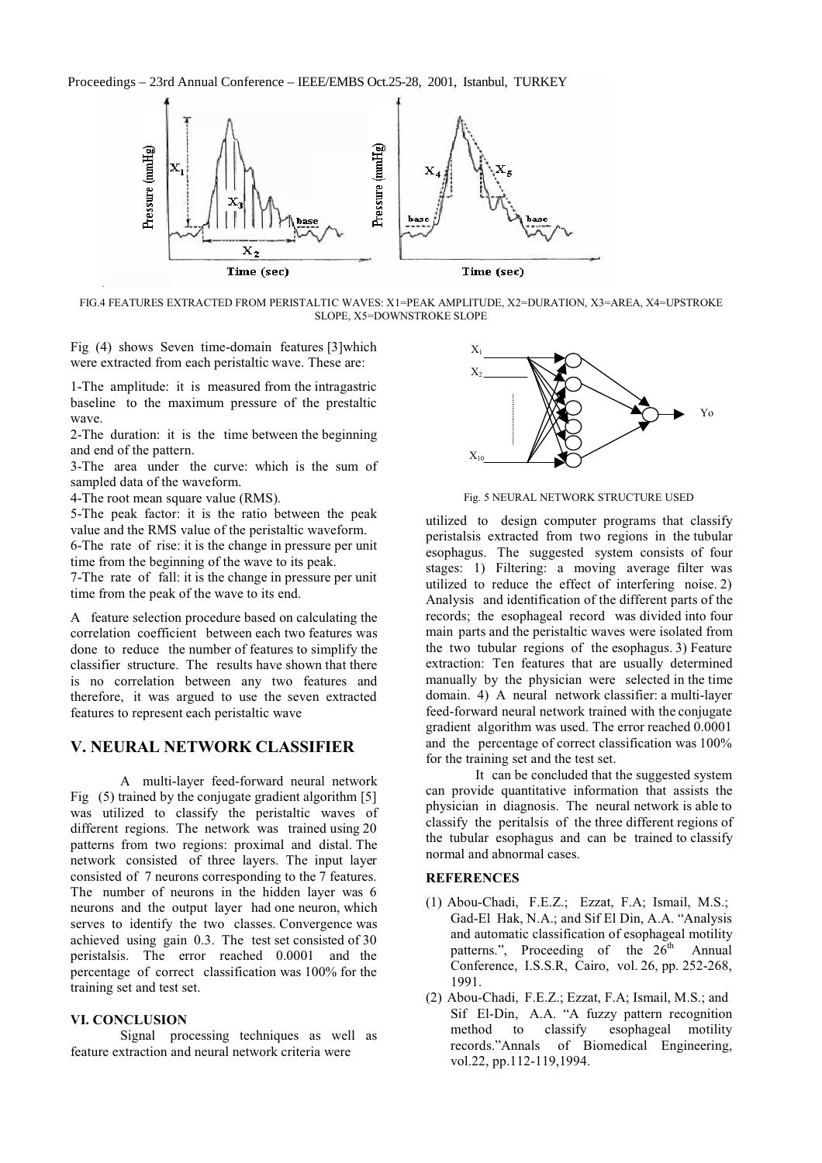Proceedings - 23rd Annual Conference - IEEE/EMBS Oct.25-28, 2001, Istanbul, TURKEY



FIG.4 FEATURES EXTRACTED FROM PERISTALTIC WAVES: X1=PEAK AMPLITUDE, X2=DURATION, X3=AREA, X4=UPSTROKE SLOPE, X5=DOWNSTROKE SLOPE

Fig (4) shows Seven time-domain features [3] which were extracted from each peristaltic wave. These are:

1-The amplitude: it is measured from the intragastric baseline to the maximum pressure of the prestaltic wave.

2-The duration: it is the time between the beginning and end of the pattern.

3-The area under the curve: which is the sum of sampled data of the waveform.

4-The root mean square value (RMS).

5-The peak factor: it is the ratio between the peak value and the RMS value of the peristaltic waveform. 6-The rate of rise: it is the change in pressure per unit time from the beginning of the wave to its peak.

7-The rate of fall: it is the change in pressure per unit time from the peak of the wave to its end.

A feature selection procedure based on calculating the correlation coefficient between each two features was done to reduce the number of features to simplify the classifier structure. The results have shown that there is no correlation between any two features and therefore, it was argued to use the seven extracted features to represent each peristaltic wave

# V. NEURAL NETWORK CLASSIFIER

A multi-layer feed-forward neural network Fig.  $(5)$  trained by the conjugate gradient algorithm [5] was utilized to classify the peristaltic waves of different regions. The network was trained using 20 patterns from two regions: proximal and distal. The network consisted of three layers. The input layer consisted of 7 neurons corresponding to the 7 features. The number of neurons in the hidden layer was 6 neurons and the output layer had one neuron, which serves to identify the two classes. Convergence was achieved using gain 0.3. The test set consisted of 30 peristalsis. The error reached 0.0001 and the percentage of correct classification was 100% for the training set and test set.

## **VI. CONCLUSION**

Signal processing techniques as well as feature extraction and neural network criteria were



Fig. 5 NEURAL NETWORK STRUCTURE USED

utilized to design computer programs that classify peristalsis extracted from two regions in the tubular esophagus. The suggested system consists of four stages: 1) Filtering: a moving average filter was utilized to reduce the effect of interfering noise. 2) Analysis and identification of the different parts of the records; the esophageal record was divided into four main parts and the peristaltic waves were isolated from the two tubular regions of the esophagus. 3) Feature extraction: Ten features that are usually determined manually by the physician were selected in the time domain. 4) A neural network classifier: a multi-layer feed-forward neural network trained with the conjugate gradient algorithm was used. The error reached 0.0001 and the percentage of correct classification was 100% for the training set and the test set.

It can be concluded that the suggested system can provide quantitative information that assists the physician in diagnosis. The neural network is able to classify the peritalsis of the three different regions of the tubular esophagus and can be trained to classify normal and abnormal cases.

#### **REFERENCES**

- (1) Abou-Chadi, F.E.Z.; Ezzat, F.A; Ismail, M.S.; Gad-El Hak, N.A.; and Sif El Din, A.A. "Analysis and automatic classification of esophageal motility patterns.", Proceeding of the  $26<sup>th</sup>$  Annual Conference, I.S.S.R, Cairo, vol. 26, pp. 252-268, 1991.
- (2) Abou-Chadi, F.E.Z.; Ezzat, F.A; Ismail, M.S.; and Sif El-Din, A.A. "A fuzzy pattern recognition esophageal motility method to classify records."Annals of Biomedical Engineering, vol.22, pp.112-119,1994.